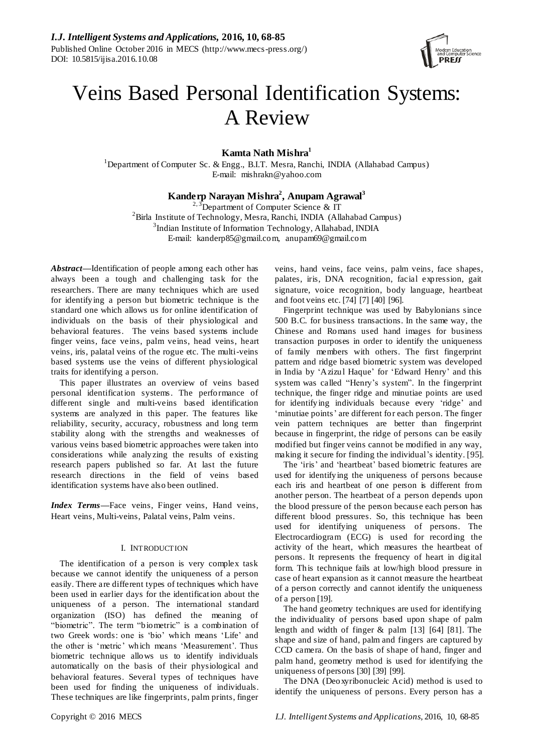

# Veins Based Personal Identification Systems: A Review

**Kamta Nath Mishra<sup>1</sup>**

<sup>1</sup>Department of Computer Sc. & Engg., B.I.T. Mesra, Ranchi, INDIA (Allahabad Campus) E-mail: mishrakn@yahoo.com

# **Kanderp Narayan Mishra<sup>2</sup> , Anupam Agrawal<sup>3</sup>**

<sup>2, 3</sup>Department of Computer Science & IT  ${}^{2}$ Birla Institute of Technology, Mesra, Ranchi, INDIA (Allahabad Campus) <sup>3</sup>Indian Institute of Information Technology, Allahabad, INDIA E-mail: kanderp85@gmail.com, anupam69@gmail.com

*Abstract***—**Identification of people among each other has always been a tough and challenging task for the researchers. There are many techniques which are used for identifying a person but biometric technique is the standard one which allows us for online identification of individuals on the basis of their physiological and behavioral features. The veins based systems include finger veins, face veins, palm veins, head veins, heart veins, iris, palatal veins of the rogue etc. The multi-veins based systems use the veins of different physiological traits for identifying a person.

This paper illustrates an overview of veins based personal identification systems. The performance of different single and multi-veins based identification systems are analyzed in this paper. The features like reliability, security, accuracy, robustness and long term stability along with the strengths and weaknesses of various veins based biometric approaches were taken into considerations while analyzing the results of existing research papers published so far. At last the future research directions in the field of veins based identification systems have also been outlined.

*Index Terms***—**Face veins, Finger veins, Hand veins, Heart veins, Multi-veins, Palatal veins, Palm veins.

## I. INTRODUCTION

The identification of a person is very complex task because we cannot identify the uniqueness of a person easily. There are different types of techniques which have been used in earlier days for the identification about the uniqueness of a person. The international standard organization (ISO) has defined the meaning of "biometric". The term "biometric" is a combination of two Greek words: one is "bio" which means "Life" and the other is 'metric' which means 'Measurement'. Thus biometric technique allows us to identify individuals automatically on the basis of their physiological and behavioral features. Several types of techniques have been used for finding the uniqueness of individuals. These techniques are like fingerprints, palm prints, finger veins, hand veins, face veins, palm veins, face shapes, palates, iris, DNA recognition, facial expression, gait signature, voice recognition, body language, heartbeat and foot veins etc. [74] [7] [40] [96].

Fingerprint technique was used by Babylonians since 500 B.C. for business transactions. In the same way, the Chinese and Romans used hand images for business transaction purposes in order to identify the uniqueness of family members with others. The first fingerprint pattern and ridge based biometric system was developed in India by "Azizul Haque" for "Edward Henry" and this system was called "Henry"s system". In the fingerprint technique, the finger ridge and minutiae points are used for identifying individuals because every "ridge" and 'minutiae points' are different for each person. The finger vein pattern techniques are better than fingerprint because in fingerprint, the ridge of persons can be easily modified but finger veins cannot be modified in any way, making it secure for finding the individual's identity. [95].

The 'iris' and 'heartbeat' based biometric features are used for identifying the uniqueness of persons because each iris and heartbeat of one person is different from another person. The heartbeat of a person depends upon the blood pressure of the person because each person has different blood pressures. So, this technique has been used for identifying uniqueness of persons. The Electrocardiogram (ECG) is used for recording the activity of the heart, which measures the heartbeat of persons. It represents the frequency of heart in digital form. This technique fails at low/high blood pressure in case of heart expansion as it cannot measure the heartbeat of a person correctly and cannot identify the uniqueness of a person [19].

The hand geometry techniques are used for identifying the individuality of persons based upon shape of palm length and width of finger & palm [13] [64] [81]. The shape and size of hand, palm and fingers are captured by CCD camera. On the basis of shape of hand, finger and palm hand, geometry method is used for identifying the uniqueness of persons [30] [39] [99].

The DNA (Deoxyribonucleic Acid) method is used to identify the uniqueness of persons. Every person has a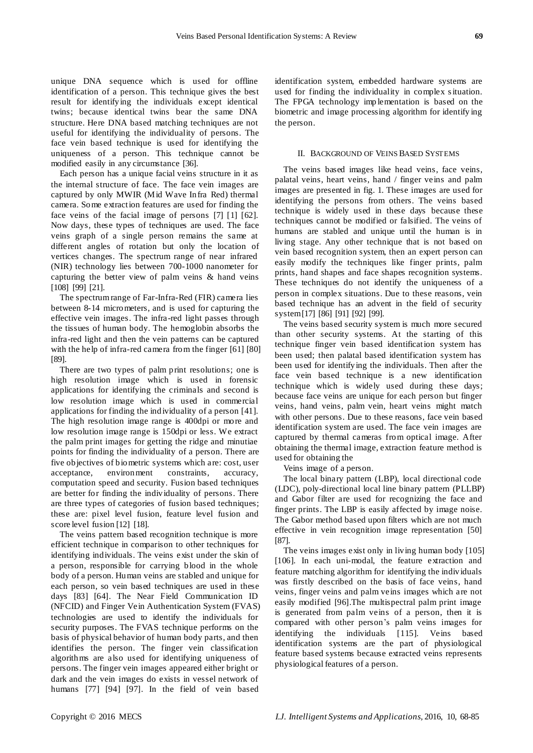unique DNA sequence which is used for offline identification of a person. This technique gives the best result for identifying the individuals except identical twins; because identical twins bear the same DNA structure. Here DNA based matching techniques are not useful for identifying the individuality of persons. The face vein based technique is used for identifying the uniqueness of a person. This technique cannot be modified easily in any circumstance [36].

Each person has a unique facial veins structure in it as the internal structure of face. The face vein images are captured by only MWIR (Mid Wave Infra Red) thermal camera. Some extraction features are used for finding the face veins of the facial image of persons [7] [1] [62]. Now days, these types of techniques are used. The face veins graph of a single person remains the same at different angles of rotation but only the location of vertices changes. The spectrum range of near infrared (NIR) technology lies between 700-1000 nanometer for capturing the better view of palm veins & hand veins [108] [99] [21].

The spectrum range of Far-Infra-Red (FIR) camera lies between 8-14 micrometers, and is used for capturing the effective vein images. The infra-red light passes through the tissues of human body. The hemoglobin absorbs the infra-red light and then the vein patterns can be captured with the help of infra-red camera from the finger [61] [80] [89].

There are two types of palm print resolutions; one is high resolution image which is used in forensic applications for identifying the criminals and second is low resolution image which is used in commercial applications for finding the individuality of a person [41]. The high resolution image range is 400dpi or more and low resolution image range is 150dpi or less. We extract the palm print images for getting the ridge and minutiae points for finding the individuality of a person. There are five objectives of biometric systems which are: cost, user acceptance, environment constraints, accuracy, computation speed and security. Fusion based techniques are better for finding the individuality of persons. There are three types of categories of fusion based techniques; these are: pixel level fusion, feature level fusion and score level fusion [12] [18].

The veins pattern based recognition technique is more efficient technique in comparison to other techniques for identifying individuals. The veins exist under the skin of a person, responsible for carrying blood in the whole body of a person. Human veins are stabled and unique for each person, so vein based techniques are used in these days [83] [64]. The Near Field Communication ID (NFCID) and Finger Vein Authentication System (FVAS) technologies are used to identify the individuals for security purposes. The FVAS technique performs on the basis of physical behavior of human body parts, and then identifies the person. The finger vein classification algorithms are also used for identifying uniqueness of persons. The finger vein images appeared either bright or dark and the vein images do exists in vessel network of humans [77] [94] [97]. In the field of vein based identification system, embedded hardware systems are used for finding the individuality in complex s ituation. The FPGA technology imp lementation is based on the biometric and image processing algorithm for identify ing the person.

#### II. BACKGROUND OF VEINS BASED SYSTEMS

The veins based images like head veins, face veins, palatal veins, heart veins, hand / finger veins and palm images are presented in fig. 1. These images are used for identifying the persons from others. The veins based technique is widely used in these days because these techniques cannot be modified or falsified. The veins of humans are stabled and unique until the human is in living stage. Any other technique that is not based on vein based recognition system, then an expert person can easily modify the techniques like finger prints, palm prints, hand shapes and face shapes recognition systems. These techniques do not identify the uniqueness of a person in complex situations. Due to these reasons, vein based technique has an advent in the field of security system[17] [86] [91] [92] [99].

The veins based security system is much more secured than other security systems. At the starting of this technique finger vein based identification system has been used; then palatal based identification system has been used for identifying the individuals. Then after the face vein based technique is a new identification technique which is widely used during these days; because face veins are unique for each person but finger veins, hand veins, palm vein, heart veins might match with other persons. Due to these reasons, face vein based identification system are used. The face vein images are captured by thermal cameras from optical image. After obtaining the thermal image, extraction feature method is used for obtaining the

Veins image of a person.

The local binary pattern (LBP), local directional code (LDC), poly-directional local line binary pattern (PLLBP) and Gabor filter are used for recognizing the face and finger prints. The LBP is easily affected by image noise. The Gabor method based upon filters which are not much effective in vein recognition image representation [50] [87].

The veins images exist only in living human body [105] [106]. In each uni-modal, the feature extraction and feature matching algorithm for identifying the individuals was firstly described on the basis of face veins, hand veins, finger veins and palm veins images which are not easily modified [96].The multispectral palm print image is generated from palm veins of a person, then it is compared with other person"s palm veins images for identifying the individuals [115]. Veins based identification systems are the part of physiological feature based systems because extracted veins represents physiological features of a person.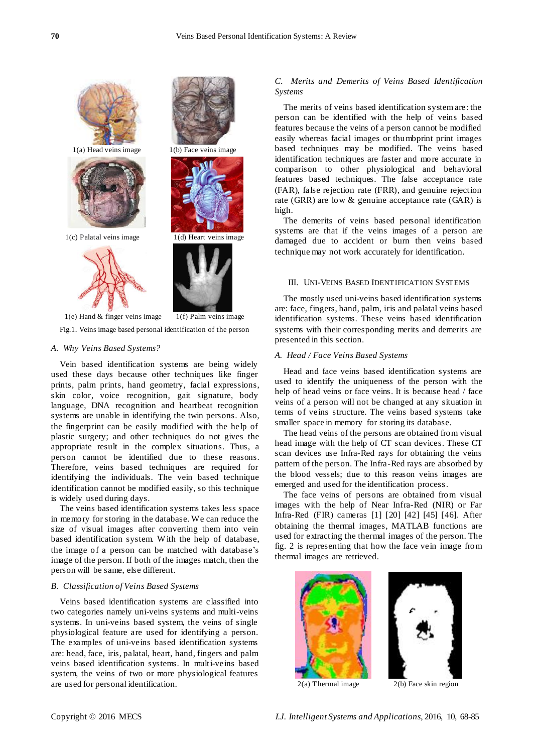

Fig.1. Veins image based personal identification of the person

#### *A. Why Veins Based Systems?*

Vein based identification systems are being widely used these days because other techniques like finger prints, palm prints, hand geometry, facial expressions, skin color, voice recognition, gait signature, body language, DNA recognition and heartbeat recognition systems are unable in identifying the twin persons. Also, the fingerprint can be easily modified with the help of plastic surgery; and other techniques do not gives the appropriate result in the complex situations. Thus, a person cannot be identified due to these reasons. Therefore, veins based techniques are required for identifying the individuals. The vein based technique identification cannot be modified easily, so this technique is widely used during days.

The veins based identification systems takes less space in memory for storing in the database. We can reduce the size of visual images after converting them into vein based identification system. With the help of database, the image of a person can be matched with database"s image of the person. If both of the images match, then the person will be same, else different.

#### *B. Classification of Veins Based Systems*

Veins based identification systems are classified into two categories namely uni-veins systems and multi-veins systems. In uni-veins based system, the veins of single physiological feature are used for identifying a person. The examples of uni-veins based identification systems are: head, face, iris, palatal, heart, hand, fingers and palm veins based identification systems. In multi-veins based system, the veins of two or more physiological features are used for personal identification.

## *C. Merits and Demerits of Veins Based Identification Systems*

The merits of veins based identification system are: the person can be identified with the help of veins based features because the veins of a person cannot be modified easily whereas facial images or thumbprint print images based techniques may be modified. The veins based identification techniques are faster and more accurate in comparison to other physiological and behavioral features based techniques. The false acceptance rate (FAR), false rejection rate (FRR), and genuine rejection rate (GRR) are low & genuine acceptance rate (GAR) is high.

The demerits of veins based personal identification systems are that if the veins images of a person are damaged due to accident or burn then veins based technique may not work accurately for identification.

#### III. UNI-VEINS BASED IDENTIFICATION SYSTEMS

The mostly used uni-veins based identification systems are: face, fingers, hand, palm, iris and palatal veins based identification systems. These veins based identification systems with their corresponding merits and demerits are presented in this section.

#### *A. Head / Face Veins Based Systems*

Head and face veins based identification systems are used to identify the uniqueness of the person with the help of head veins or face veins. It is because head / face veins of a person will not be changed at any situation in terms of veins structure. The veins based systems take smaller space in memory for storing its database.

The head veins of the persons are obtained from visual head image with the help of CT scan devices. These CT scan devices use Infra-Red rays for obtaining the veins pattern of the person. The Infra-Red rays are absorbed by the blood vessels; due to this reason veins images are emerged and used for the identification process.

The face veins of persons are obtained from visual images with the help of Near Infra-Red (NIR) or Far Infra-Red (FIR) cameras [1] [20] [42] [45] [46]. After obtaining the thermal images, MATLAB functions are used for extracting the thermal images of the person. The fig. 2 is representing that how the face vein image from thermal images are retrieved.



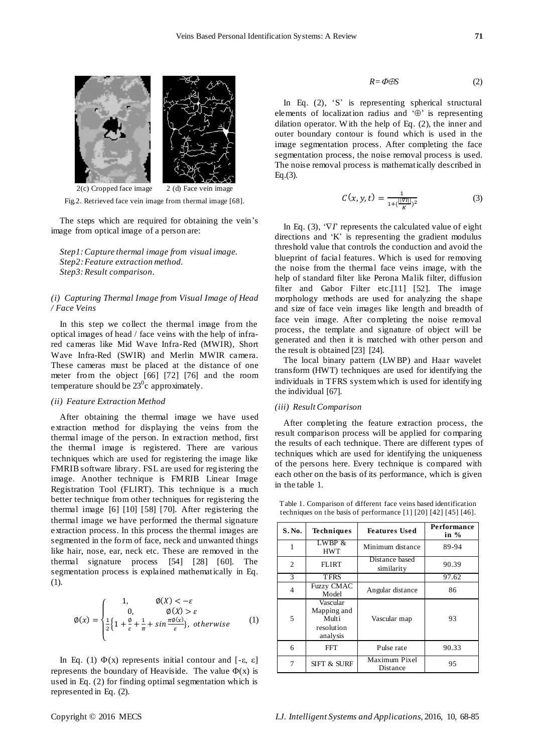

Fig.2. Retrieved face vein image from thermal image [68].

The steps which are required for obtaining the vein's image from optical image of a person are:

*Step1:Capture thermal image from visual image. Step2: Feature extraction method. Step3: Result comparison.*

#### *(i) Capturing Thermal Image from Visual Image of Head / Face Veins*

In this step we collect the thermal image from the optical images of head / face veins with the help of infrared cameras like Mid Wave Infra-Red (MWIR), Short Wave Infra-Red (SWIR) and Merlin MWIR camera. These cameras must be placed at the distance of one meter from the object [66] [72] [76] and the room temperature should be  $23^0c$  approximately.

## *(ii) Feature Extraction Method*

After obtaining the thermal image we have used extraction method for displaying the veins from the thermal image of the person. In extraction method, first the thermal image is registered. There are various techniques which are used for registering the image like FMRIB software library. FSL are used for registering the image. Another technique is FMRIB Linear Image Registration Tool (FLIRT). This technique is a much better technique from other techniques for registering the thermal image [6] [10] [58] [70]. After registering the thermal image we have performed the thermal signature extraction process. In this process the thermal images are segmented in the form of face, neck and unwanted things like hair, nose, ear, neck etc. These are removed in the thermal signature process [54] [28] [60]. The segmentation process is explained mathematically in Eq. (1).

$$
\varnothing(x) = \begin{cases}\n1, & \varnothing(X) < -\varepsilon \\
0, & \varnothing(X) > \varepsilon \\
\frac{1}{2} \left\{ 1 + \frac{\varnothing}{\varepsilon} + \frac{1}{\pi} + \sin \frac{\pi \varnothing(x)}{\varepsilon} \right\}, & \text{otherwise}\n\end{cases}\n\tag{1}
$$

In Eq. (1)  $Φ(x)$  represents initial contour and [-ε, ε] represents the boundary of Heaviside. The value  $\Phi(x)$  is used in Eq. (2) for finding optimal segmentation which is represented in Eq. (2).

In Eq.  $(2)$ ,  $S'$  is representing spherical structural elements of localization radius and  $\Theta$  is representing dilation operator. W ith the help of Eq. (2), the inner and outer boundary contour is found which is used in the image segmentation process. After completing the face segmentation process, the noise removal process is used. The noise removal process is mathematically described in Eq.(3).

$$
C(x, y, t) = \frac{1}{1 + (\frac{||\overline{v_1}||}{K})^2}
$$
 (3)

In Eq. (3),  $\forall T$  represents the calculated value of eight directions and "K" is representing the gradient modulus threshold value that controls the conduction and avoid the blueprint of facial features. Which is used for removing the noise from the thermal face veins image, with the help of standard filter like Perona Malik filter, diffusion filter and Gabor Filter etc.[11] [52]. The image morphology methods are used for analyzing the shape and size of face vein images like length and breadth of face vein image. After completing the noise removal process, the template and signature of object will be generated and then it is matched with other person and the result is obtained [23] [24].

The local binary pattern (LW BP) and Haar wavelet transform (HWT) techniques are used for identifying the individuals in TFRS system which is used for identifying the individual [67].

#### *(iii) Result Comparison*

After completing the feature extraction process, the result comparison process will be applied for comparing the results of each technique. There are different types of techniques which are used for identifying the uniqueness of the persons here. Every technique is compared with each other on the basis of its performance, which is given in the table 1.

| S. No.         | <b>Techniques</b>                                          | <b>Features Used</b>         | Performance<br>in $%$ |
|----------------|------------------------------------------------------------|------------------------------|-----------------------|
| 1              | LWBP &<br><b>HWT</b>                                       | Minimum distance             | 89-94                 |
| 2              | <b>FLIRT</b>                                               | Distance based<br>similarity | 90.39                 |
| 3              | <b>TFRS</b>                                                |                              | 97.62                 |
| 4              | <b>Fuzzy CMAC</b><br>Model                                 | Angular distance             | 86                    |
| $\overline{5}$ | Vascular<br>Mapping and<br>Multi<br>resolution<br>analysis | Vascular map                 | 93                    |
| 6              | <b>FFT</b>                                                 | Pulse rate                   | 90.33                 |
| 7              | <b>SIFT &amp; SURF</b>                                     | Maximum Pixel<br>Distance    | 95                    |

Table 1. Comparison of different face veins based identification techniques on the basis of performance [1] [20] [42] [45] [46].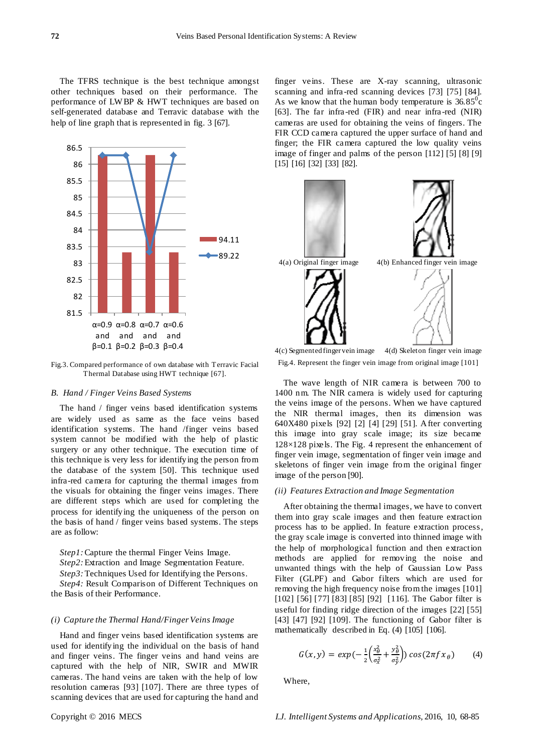The TFRS technique is the best technique amongst other techniques based on their performance. The performance of LWBP & HWT techniques are based on self-generated database and Terravic database with the help of line graph that is represented in fig. 3 [67].



Fig.3. Compared performance of own database with Terravic Facial Thermal Database using HWT technique [67].

#### *B. Hand / Finger Veins Based Systems*

The hand / finger veins based identification systems are widely used as same as the face veins based identification systems. The hand /finger veins based system cannot be modified with the help of plastic surgery or any other technique. The execution time of this technique is very less for identifying the person from the database of the system [50]. This technique used infra-red camera for capturing the thermal images from the visuals for obtaining the finger veins images. There are different steps which are used for completing the process for identifying the uniqueness of the person on the basis of hand / finger veins based systems. The steps are as follow:

*Step1:* Capture the thermal Finger Veins Image. *Step2:* Extraction and Image Segmentation Feature. *Step3:* Techniques Used for Identifying the Persons. *Step4:* Result Comparison of Different Techniques on

# *(i) Capture the Thermal Hand/Finger Veins Image*

Hand and finger veins based identification systems are used for identifying the individual on the basis of hand and finger veins. The finger veins and hand veins are captured with the help of NIR, SWIR and MWIR cameras. The hand veins are taken with the help of low resolution cameras [93] [107]. There are three types of scanning devices that are used for capturing the hand and

finger veins. These are X-ray scanning, ultrasonic scanning and infra -red scanning devices [73] [75] [84]. As we know that the human body temperature is  $36.85^{\circ}$ c [63]. The far infra -red (FIR) and near infra-red (NIR) cameras are used for obtaining the veins of fingers. The FIR CCD camera captured the upper surface of hand and finger; the FIR camera captured the low quality veins image of finger and palms of the person [112] [5] [8] [9] [15] [16] [32] [33] [82].



4(c) Segmented finger vein image 4(d) Skeleton finger vein image Fig.4. Represent the finger vein image from original image [101]

The wave length of NIR camera is between 700 to 1400 nm. The NIR camera is widely used for capturing the veins image of the persons. When we have captured the NIR thermal images, then its dimension was 640X480 pixels [92] [2] [4] [29] [51]. After converting this image into gray scale image; its size became 128×128 pixels. The Fig. 4 represent the enhancement of finger vein image, segmentation of finger vein image and skeletons of finger vein image from the original finger image of the person [90].

#### *(ii) Features Extraction and Image Segmentation*

After obtaining the thermal images, we have to convert them into gray scale images and then feature extraction process has to be applied. In feature extraction process, the gray scale image is converted into thinned image with the help of morphological function and then extraction methods are applied for removing the noise and unwanted things with the help of Gaussian Low Pass Filter (GLPF) and Gabor filters which are used for removing the high frequency noise from the images [101] [102] [56] [77] [83] [85] [92] [116]. The Gabor filter is useful for finding ridge direction of the images [22] [55] [43] [47] [92] [109]. The functioning of Gabor filter is mathematically described in Eq. (4) [105] [106].

$$
G(x,y) = exp(-\frac{1}{2}\left(\frac{x_{\theta}^2}{\sigma_x^2} + \frac{y_{\theta}^2}{\sigma_y^2}\right))\cos(2\pi f x_{\theta})
$$
 (4)

Where,

the Basis of their Performance.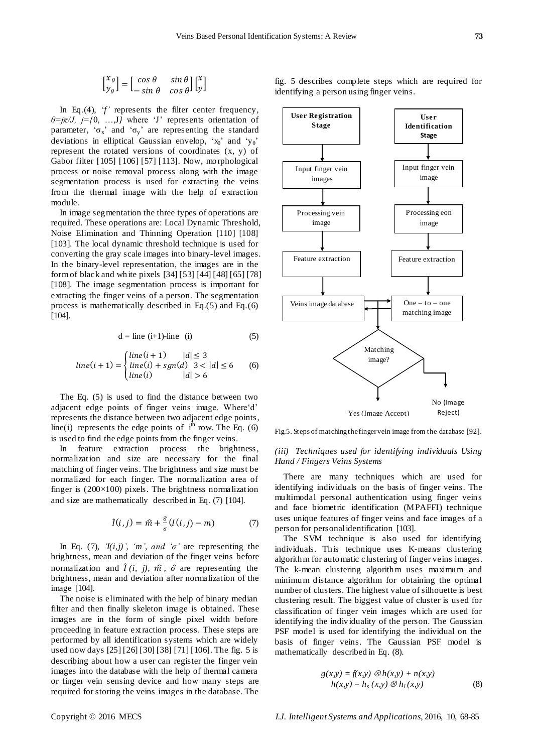$$
\begin{bmatrix} x_{\theta} \\ y_{\theta} \end{bmatrix} = \begin{bmatrix} \cos \theta & \sin \theta \\ -\sin \theta & \cos \theta \end{bmatrix} \begin{bmatrix} x \\ y \end{bmatrix}
$$

In Eq.(4), 'f' represents the filter center frequency, *θ=jπ/J, j={*0, …,J*}* where "J" represents orientation of parameter, ' $\sigma_x$ ' and ' $\sigma_y$ ' are representing the standard deviations in elliptical Gaussian envelop, ' $x_0$ ' and 'y<sub>0</sub>' represent the rotated versions of coordinates (x, y) of Gabor filter [105] [106] [57] [113]. Now, morphological process or noise removal process along with the image segmentation process is used for extracting the veins from the thermal image with the help of extraction module.

In image segmentation the three types of operations are required. These operations are: Local Dynamic Threshold, Noise Elimination and Thinning Operation [110] [108] [103]. The local dynamic threshold technique is used for converting the gray scale images into binary-level images. In the binary-level representation, the images are in the form of black and white pixels [34] [53] [44] [48] [65] [78] [108]. The image segmentation process is important for extracting the finger veins of a person. The segmentation process is mathematically described in Eq.(5) and Eq.(6) [104].

$$
d = line (i+1)-line (i)
$$
 (5)

$$
line(i + 1) = \begin{cases} line(i + 1) & |d| \le 3 \\ line(i) + sgn(d) & 3 < |d| \le 6 \\ line(i) & |d| > 6 \end{cases}
$$
 (6)

The Eq. (5) is used to find the distance between two adjacent edge points of finger veins image. Where'd' represents the distance between two adjacent edge points, line(i) represents the edge points of  $i^{\text{th}}$  row. The Eq. (6) is used to find the edge points from the finger veins.

In feature extraction process the brightness, normalization and size are necessary for the final matching of finger veins. The brightness and size must be normalized for each finger. The normalization area of finger is  $(200 \times 100)$  pixels. The brightness normalization and size are mathematically described in Eq. (7) [104].

$$
\hat{I}(i,j) = \hat{m} + \frac{\hat{\sigma}}{\sigma}(I(i,j) - m) \tag{7}
$$

In Eq. (7),  $\mathcal{I}(i,j)$ , 'm', and ' $\sigma$ ' are representing the brightness, mean and deviation of the finger veins before normalization and  $\hat{I}(i, j)$ ,  $\hat{m}$ ,  $\hat{\sigma}$  are representing the brightness, mean and deviation after normalization of the image [104].

The noise is eliminated with the help of binary median filter and then finally skeleton image is obtained. These images are in the form of single pixel width before proceeding in feature extraction process. These steps are performed by all identification systems which are widely used now days [25] [26] [30] [38] [71] [106]. The fig. 5 is describing about how a user can register the finger vein images into the database with the help of thermal camera or finger vein sensing device and how many steps are required for storing the veins images in the database. The

fig. 5 describes complete steps which are required for identifying a person using finger veins.



Fig.5. Steps of matching the finger vein image from the database [92].

#### *(iii) Techniques used for identifying individuals Using Hand / Fingers Veins Systems*

There are many techniques which are used for identifying individuals on the basis of finger veins. The multimodal personal authentication using finger veins and face biometric identification (MPAFFI) technique uses unique features of finger veins and face images of a person for personal identification [103].

The SVM technique is also used for identifying individuals. This technique uses K-means clustering algorithm for automatic clustering of finger veins images. The k-mean clustering algorithm uses maximum and minimum distance algorithm for obtaining the optimal number of clusters. The highest value of silhouette is best clustering result. The biggest value of cluster is used for classification of finger vein images which are used for identifying the individuality of the person. The Gaussian PSF model is used for identifying the individual on the basis of finger veins. The Gaussian PSF model is mathematically described in Eq. (8).

$$
g(x,y) = f(x,y) \otimes h(x,y) + n(x,y)
$$
  
 
$$
h(x,y) = h_s(x,y) \otimes h_l(x,y)
$$
 (8)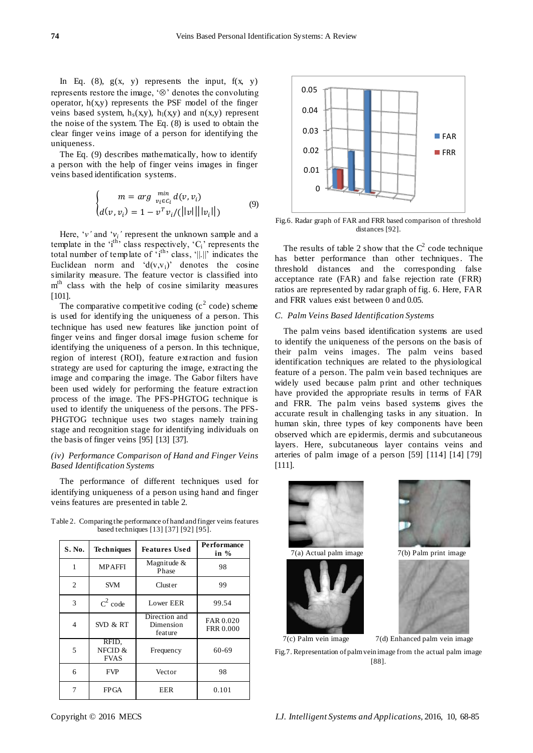In Eq.  $(8)$ ,  $g(x, y)$  represents the input,  $f(x, y)$ represents restore the image,  $\mathcal{L}$  denotes the convoluting operator,  $h(x,y)$  represents the PSF model of the finger veins based system,  $h_s(x,y)$ ,  $h_l(x,y)$  and  $n(x,y)$  represent the noise of the system. The Eq. (8) is used to obtain the clear finger veins image of a person for identifying the uniqueness.

The Eq. (9) describes mathematically, how to identify a person with the help of finger veins images in finger veins based identification systems.

$$
\begin{cases}\n m = arg \min_{v_i \in C_i} d(v, v_i) \\
 d(v, v_i) = 1 - v^T v_i / (||v|| ||v_i||)\n\end{cases}
$$
\n(9)

Here,  $\forall v$  and  $\forall v_i$  represent the unknown sample and a template in the  $i<sup>th</sup>$  class respectively,  $C_i$  represents the total number of template of  $i<sup>th</sup>$  class,  $||.||$  indicates the Euclidean norm and  $d(v,v_i)$  denotes the cosine similarity measure. The feature vector is classified into m<sup>th</sup> class with the help of cosine similarity measures [101].

The comparative competitive coding  $(c^2 \text{ code})$  scheme is used for identifying the uniqueness of a person. This technique has used new features like junction point of finger veins and finger dorsal image fusion scheme for identifying the uniqueness of a person. In this technique, region of interest (ROI), feature extraction and fusion strategy are used for capturing the image, extracting the image and comparing the image. The Gabor filters have been used widely for performing the feature extraction process of the image. The PFS-PHGTOG technique is used to identify the uniqueness of the persons. The PFS-PHGTOG technique uses two stages namely training stage and recognition stage for identifying individuals on the basis of finger veins [95] [13] [37].

#### *(iv) Performance Comparison of Hand and Finger Veins Based Identification Systems*

The performance of different techniques used for identifying uniqueness of a person using hand and finger veins features are presented in table 2.

Table 2. Comparing the performance of hand and finger veins features based techniques [13] [37] [92] [95].

| <b>S. No.</b> | <b>Techniques</b>               | <b>Features Used</b>                  | <b>Performance</b><br>in $%$  |
|---------------|---------------------------------|---------------------------------------|-------------------------------|
| 1             | <b>MPAFFI</b>                   | Magnitude &<br>Phase                  | 98                            |
| 2             | <b>SVM</b>                      | Cluster                               | 99                            |
| 3             | $C^2$ code                      | Lower EER                             | 99.54                         |
| 4             | SVD & RT                        | Direction and<br>Dimension<br>feature | FAR 0.020<br><b>FRR 0.000</b> |
| 5             | RFID,<br>NFCID &<br><b>FVAS</b> | Frequency                             | 60-69                         |
| 6             | <b>FVP</b>                      | Vector                                | 98                            |
| 7             | FPGA                            | EER                                   | 0.101                         |



Fig.6. Radar graph of FAR and FRR based comparison of threshold distances [92].

The results of table 2 show that the  $C^2$  code technique has better performance than other techniques. The threshold distances and the corresponding false acceptance rate (FAR) and false rejection rate (FRR) ratios are represented by radar graph of fig. 6. Here, FAR and FRR values exist between 0 and 0.05.

## *C. Palm Veins Based Identification Systems*

The palm veins based identification systems are used to identify the uniqueness of the persons on the basis of their palm veins images. The palm veins based identification techniques are related to the physiological feature of a person. The palm vein based techniques are widely used because palm print and other techniques have provided the appropriate results in terms of FAR and FRR. The palm veins based systems gives the accurate result in challenging tasks in any situation. In human skin, three types of key components have been observed which are epidermis, dermis and subcutaneous layers. Here, subcutaneous layer contains veins and arteries of palm image of a person [59] [114] [14] [79] [111].



Fig.7. Representation of palm vein image from the actual palm image [88].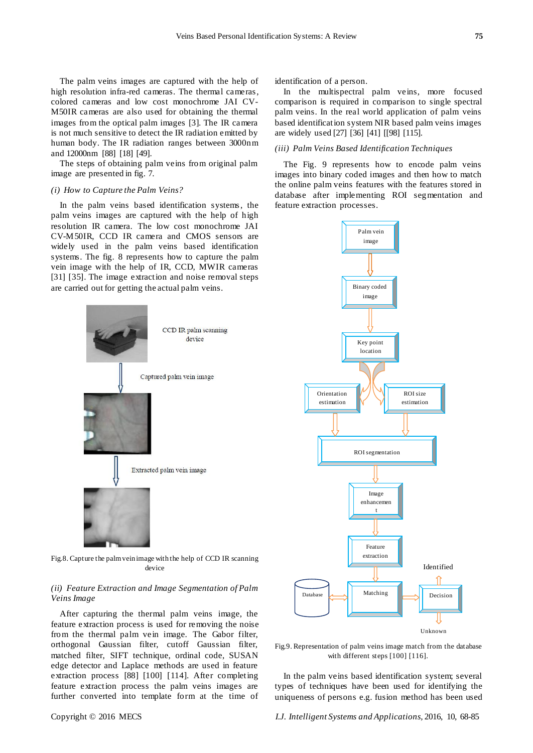The palm veins images are captured with the help of high resolution infra-red cameras. The thermal cameras, colored cameras and low cost monochrome JAI CV-M50IR cameras are also used for obtaining the thermal images from the optical palm images [3]. The IR camera is not much sensitive to detect the IR radiation emitted by human body. The IR radiation ranges between 3000nm and 12000nm [88] [18] [49].

The steps of obtaining palm veins from original palm image are presented in fig. 7.

## *(i) How to Capture the Palm Veins?*

In the palm veins based identification systems, the palm veins images are captured with the help of high resolution IR camera. The low cost monochrome JAI CV-M50IR, CCD IR camera and CMOS sensors are widely used in the palm veins based identification systems. The fig. 8 represents how to capture the palm vein image with the help of IR, CCD, MWIR cameras [31] [35]. The image extraction and noise removal steps are carried out for getting the actual palm veins.

> CCD IR palm scanning device

Captured palm vein image

Extracted palm vein image

identification of a person.

In the multispectral palm veins, more focused comparison is required in comparison to single spectral palm veins. In the real world application of palm veins based identification system NIR based palm veins images are widely used [27] [36] [41] [[98] [115].

## *(iii) Palm Veins Based Identification Techniques*

The Fig. 9 represents how to encode palm veins images into binary coded images and then how to match the online palm veins features with the features stored in database after implementing ROI segmentation and feature extraction processes.



Fig.9. Representation of palm veins image match from the database with different steps [100] [116].

In the palm veins based identification system; several types of techniques have been used for identifying the uniqueness of persons e.g. fusion method has been used

Fig.8. Capture the palm vein image with the help of CCD IR scanning device

## *(ii) Feature Extraction and Image Segmentation of Palm Veins Image*

After capturing the thermal palm veins image, the feature extraction process is used for removing the noise from the thermal palm vein image. The Gabor filter, orthogonal Gaussian filter, cutoff Gaussian filter, matched filter, SIFT technique, ordinal code, SUSAN edge detector and Laplace methods are used in feature extraction process [88] [100] [114]. After completing feature extraction process the palm veins images are further converted into template form at the time of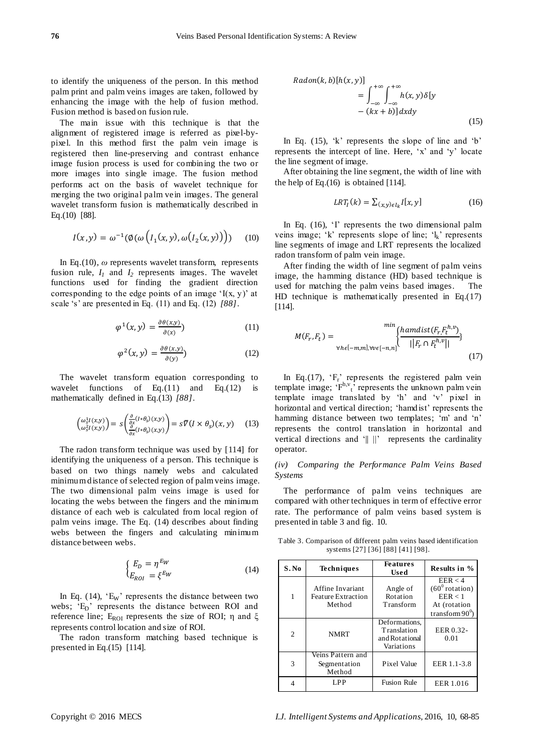to identify the uniqueness of the person. In this method palm print and palm veins images are taken, followed by enhancing the image with the help of fusion method. Fusion method is based on fusion rule.

The main issue with this technique is that the alignment of registered image is referred as pixel-bypixel. In this method first the palm vein image is registered then line-preserving and contrast enhance image fusion process is used for combining the two or more images into single image. The fusion method performs act on the basis of wavelet technique for merging the two original palm vein images. The general wavelet transform fusion is mathematically described in Eq.(10) [88].

$$
I(x,y) = \omega^{-1}(\phi(\omega\left(I_1(x,y),\omega\big(I_2(x,y)\big)\right)) \qquad (10)
$$

In Eq.(10), *ω* represents wavelet transform, represents fusion rule,  $I_1$  and  $I_2$  represents images. The wavelet functions used for finding the gradient direction corresponding to the edge points of an image  $I(x, y)$  at scale "s" are presented in Eq. (11) and Eq. (12) *[88]*.

$$
\varphi^{1}(x, y) = \frac{\partial \theta(x, y)}{\partial(x)}
$$
\n(11)

$$
\varphi^2(x, y) = \frac{\partial \theta(x, y)}{\partial(y)}\tag{12}
$$

The wavelet transform equation corresponding to wavelet functions of Eq. $(11)$  and Eq. $(12)$  is mathematically defined in Eq.(13) *[88]*.

$$
\begin{pmatrix} \omega_s^1 I(x,y) \\ \omega_s^2 I(x,y) \end{pmatrix} = s \begin{pmatrix} \frac{\partial}{\partial x} (I * \theta_s)(x,y) \\ \frac{\partial}{\partial x} (I * \theta_s)(x,y) \end{pmatrix} = s \overline{\nabla} (I \times \theta_s)(x,y) \tag{13}
$$

The radon transform technique was used by [114] for identifying the uniqueness of a person. This technique is based on two things namely webs and calculated minimum distance of selected region of palm veins image. The two dimensional palm veins image is used for locating the webs between the fingers and the minimum distance of each web is calculated from local region of palm veins image. The Eq. (14) describes about finding webs between the fingers and calculating minimum distance between webs.

$$
\begin{cases}\nE_D = \eta^{EW} \\
E_{ROI} = \xi^{EW}\n\end{cases}
$$
\n(14)

In Eq.  $(14)$ , 'E<sub>W</sub>' represents the distance between two webs; 'E<sub>D</sub>' represents the distance between ROI and reference line; E<sub>ROI</sub> represents the size of ROI; η and ξ represents control location and size of ROI.

The radon transform matching based technique is presented in Eq.(15) [114].

$$
Radon(k, b)[h(x, y)] = \int_{-\infty}^{+\infty} \int_{-\infty}^{+\infty} h(x, y)\delta[y - (kx + b)]dxdy
$$
\n(15)

In Eq.  $(15)$ , 'k' represents the slope of line and 'b' represents the intercept of line. Here, "x" and "y" locate the line segment of image.

After obtaining the line segment, the width of line with the help of Eq.(16) is obtained [114].

$$
LRT_I(k) = \sum_{(x,y)\in l_k} I[x, y] \tag{16}
$$

In Eq.  $(16)$ ,  $\dot{\ }$  represents the two dimensional palm veins image; 'k' represents slope of line; ' $\mathbf{l}_k$ ' represents line segments of image and LRT represents the localized radon transform of palm vein image.

After finding the width of line segment of palm veins image, the hamming distance (HD) based technique is used for matching the palm veins based images. The HD technique is mathematically presented in Eq.(17) [114].

$$
M(F_r, F_t) = \sum_{\forall h \in [-m, m], \forall v \in [-n, n]} \left\{ \frac{hamdist(F_r, F_t^{h, v})}{||F_r \cap F_t^{h, v}||} \right\}
$$
(17)

In Eq.(17),  $F_r$  represents the registered palm vein template image;  $F^{h,v}$ , represents the unknown palm vein template image translated by "h" and "v" pixel in horizontal and vertical direction; 'hamdist' represents the hamming distance between two templates; 'm' and 'n' represents the control translation in horizontal and vertical directions and '|| ||' represents the cardinality operator.

*(iv) Comparing the Performance Palm Veins Based Systems* 

The performance of palm veins techniques are compared with other techniques in term of effective error rate. The performance of palm veins based system is presented in table 3 and fig. 10.

Table 3. Comparison of different palm veins based identification systems [27] [36] [88] [41] [98].

| S.No           | <b>Techniques</b>                                       | <b>Features</b><br>Used                                             | Results in %                                                                        |
|----------------|---------------------------------------------------------|---------------------------------------------------------------------|-------------------------------------------------------------------------------------|
| 1              | Affine Invariant<br><b>Feature Extraction</b><br>Method | Angle of<br>Rotation<br><b>Transform</b>                            | EER < 4<br>$(60^0 \text{ rotation})$<br>EER < 1<br>At (rotation<br>transform $90^0$ |
| $\overline{c}$ | <b>NMRT</b>                                             | Deformations.<br><b>Translation</b><br>and Rotational<br>Variations | EER 0.32-<br>0.01                                                                   |
| 3              | Veins Pattern and<br>Segmentation<br>Method             | Pixel Value                                                         | EER 1.1-3.8                                                                         |
|                | LPP                                                     | <b>Fusion Rule</b>                                                  | EER 1.016                                                                           |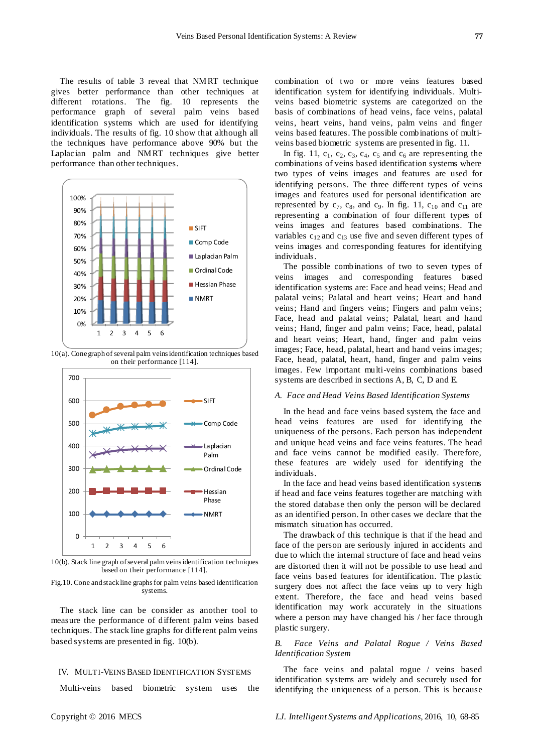The results of table 3 reveal that NMRT technique gives better performance than other techniques at different rotations. The fig. 10 represents the performance graph of several palm veins based identification systems which are used for identifying individuals. The results of fig. 10 show that although all the techniques have performance above 90% but the Laplacian palm and NMRT techniques give better performance than other techniques.



10(a). Cone graph of several palm veins identification techniques based on their performance [114].



10(b). Stack line graph of several palm veins identification techniques based on their performance [114].

Fig.10. Cone and stack line graphs for palm veins based identification systems.

The stack line can be consider as another tool to measure the performance of different palm veins based techniques. The stack line graphs for different palm veins based systems are presented in fig. 10(b).

#### IV. MULTI-VEINS BASED IDENTIFICATION SYSTEMS

Multi-veins based biometric system uses the

combination of two or more veins features based identification system for identifying individuals. Multiveins based biometric systems are categorized on the basis of combinations of head veins, face veins, palatal veins, heart veins, hand veins, palm veins and finger veins based features. The possible combinations of multiveins based biometric systems are presented in fig. 11.

In fig. 11,  $c_1$ ,  $c_2$ ,  $c_3$ ,  $c_4$ ,  $c_5$  and  $c_6$  are representing the combinations of veins based identification systems where two types of veins images and features are used for identifying persons. The three different types of veins images and features used for personal identification are represented by  $c_7$ ,  $c_8$ , and  $c_9$ . In fig. 11,  $c_{10}$  and  $c_{11}$  are representing a combination of four different types of veins images and features based combinations. The variables  $c_{12}$  and  $c_{13}$  use five and seven different types of veins images and corresponding features for identifying individuals.

The possible combinations of two to seven types of veins images and corresponding features based identification systems are: Face and head veins; Head and palatal veins; Palatal and heart veins; Heart and hand veins; Hand and fingers veins; Fingers and palm veins; Face, head and palatal veins; Palatal, heart and hand veins; Hand, finger and palm veins; Face, head, palatal and heart veins; Heart, hand, finger and palm veins images; Face, head, palatal, heart and hand veins images; Face, head, palatal, heart, hand, finger and palm veins images. Few important multi-veins combinations based systems are described in sections A, B, C, D and E.

#### *A. Face and Head Veins Based Identification Systems*

In the head and face veins based system, the face and head veins features are used for identifying the uniqueness of the persons. Each person has independent and unique head veins and face veins features. The head and face veins cannot be modified easily. Therefore, these features are widely used for identifying the individuals.

In the face and head veins based identification systems if head and face veins features together are matching with the stored database then only the person will be declared as an identified person. In other cases we declare that the mismatch situation has occurred.

The drawback of this technique is that if the head and face of the person are seriously injured in accidents and due to which the internal structure of face and head veins are distorted then it will not be possible to use head and face veins based features for identification. The plastic surgery does not affect the face veins up to very high extent. Therefore, the face and head veins based identification may work accurately in the situations where a person may have changed his / her face through plastic surgery.

## *B. Face Veins and Palatal Rogue / Veins Based Identification System*

The face veins and palatal rogue / veins based identification systems are widely and securely used for identifying the uniqueness of a person. This is because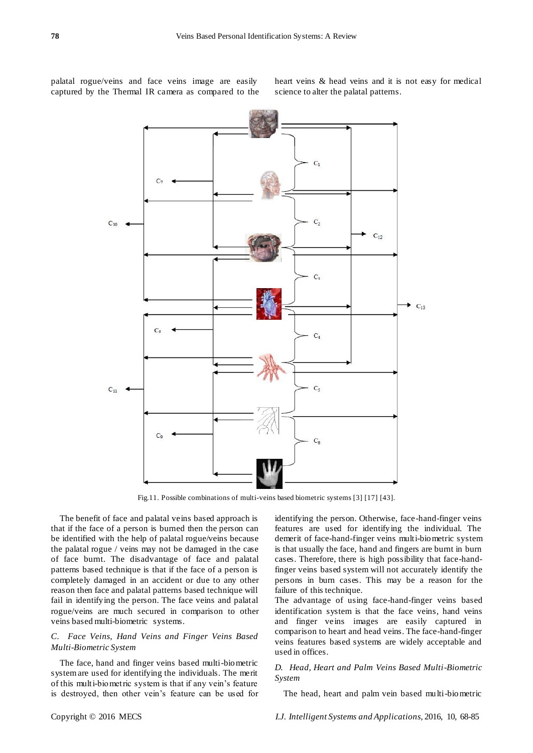palatal rogue/veins and face veins image are easily captured by the Thermal IR camera as compared to the heart veins & head veins and it is not easy for medical science to alter the palatal patterns.



Fig.11. Possible combinations of multi-veins based biometric systems [3] [17] [43].

The benefit of face and palatal veins based approach is that if the face of a person is burned then the person can be identified with the help of palatal rogue/veins because the palatal rogue / veins may not be damaged in the case of face burnt. The disadvantage of face and palatal patterns based technique is that if the face of a person is completely damaged in an accident or due to any other reason then face and palatal patterns based technique will fail in identifying the person. The face veins and palatal rogue/veins are much secured in comparison to other veins based multi-biometric systems.

## *C. Face Veins, Hand Veins and Finger Veins Based Multi-Biometric System*

The face, hand and finger veins based multi-biometric system are used for identifying the individuals. The merit of this multi-biometric system is that if any vein"s feature is destroyed, then other vein"s feature can be used for identifying the person. Otherwise, face-hand-finger veins features are used for identifying the individual. The demerit of face-hand-finger veins multi-biometric system is that usually the face, hand and fingers are burnt in burn cases. Therefore, there is high possibility that face-handfinger veins based system will not accurately identify the persons in burn cases. This may be a reason for the failure of this technique.

The advantage of using face-hand-finger veins based identification system is that the face veins, hand veins and finger veins images are easily captured in comparison to heart and head veins. The face-hand-finger veins features based systems are widely acceptable and used in offices.

## *D. Head, Heart and Palm Veins Based Multi-Biometric System*

The head, heart and palm vein based multi-biometric

Copyright © 2016 MECS *I.J. Intelligent Systems and Applications,* 2016, 10, 68-85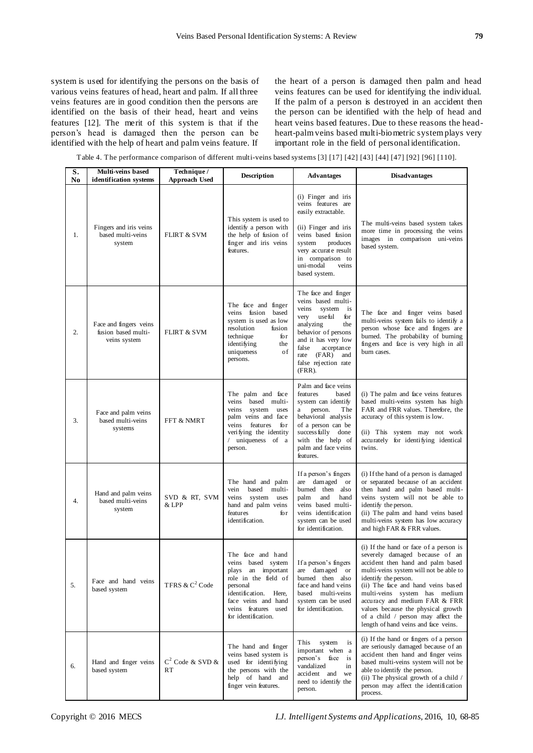system is used for identifying the persons on the basis of various veins features of head, heart and palm. If all three veins features are in good condition then the persons are identified on the basis of their head, heart and veins features [12]. The merit of this system is that if the person"s head is damaged then the person can be identified with the help of heart and palm veins feature. If

the heart of a person is damaged then palm and head veins features can be used for identifying the individual. If the palm of a person is destroyed in an accident then the person can be identified with the help of head and heart veins based features. Due to these reasons the headheart-palm veins based multi-biometric system plays very important role in the field of personal identification.

Table 4. The performance comparison of different multi-veins based systems [3] [17] [42] [43] [44] [47] [92] [96] [110].

| S.<br>No | Multi-veins based<br>identification systems                   | Technique /<br><b>Approach Used</b> | <b>Description</b>                                                                                                                                                                                 | <b>Advantages</b>                                                                                                                                                                                                                           | <b>Disadvantages</b>                                                                                                                                                                                                                                                                                                                                                                                        |
|----------|---------------------------------------------------------------|-------------------------------------|----------------------------------------------------------------------------------------------------------------------------------------------------------------------------------------------------|---------------------------------------------------------------------------------------------------------------------------------------------------------------------------------------------------------------------------------------------|-------------------------------------------------------------------------------------------------------------------------------------------------------------------------------------------------------------------------------------------------------------------------------------------------------------------------------------------------------------------------------------------------------------|
| 1.       | Fingers and iris veins<br>based multi-veins<br>system         | <b>FLIRT &amp; SVM</b>              | This system is used to<br>identify a person with<br>the help of fusion of<br>finger and iris veins<br>features.                                                                                    | (i) Finger and iris<br>veins features are<br>easily extractable.<br>(ii) Finger and iris<br>veins based fusion<br>system<br>produces<br>very accurate result<br>in comparison to<br>uni-modal<br>veins<br>based system.                     | The multi-veins based system takes<br>more time in processing the veins<br>images in comparison uni-veins<br>based system.                                                                                                                                                                                                                                                                                  |
| 2.       | Face and fingers veins<br>fusion based multi-<br>veins system | <b>FLIRT &amp; SVM</b>              | The face and finger<br>veins fusion<br>based<br>system is used as low<br>resolution<br>fusion<br>technique<br>for<br>identifying<br>the<br>uniqueness<br>of<br>persons.                            | The face and finger<br>veins based multi-<br>veins<br>system is<br>useful<br>very<br>for<br>analyzing<br>the<br>behavior of persons<br>and it has very low<br>false<br>acceptance<br>rate (FAR)<br>and<br>false rejection rate<br>$(FRR)$ . | The face and finger veins based<br>multi-veins system fails to identify a<br>person whose face and fingers are<br>burned. The probability of burning<br>fingers and face is very high in all<br>burn cases.                                                                                                                                                                                                 |
| 3.       | Face and palm veins<br>based multi-veins<br>systems           | FFT & NMRT                          | The palm and face<br>veins<br>based multi-<br>veins<br>system<br>uses<br>palm veins and face<br>features<br>veins<br>fоr<br>verifying the identity<br>uniqueness of a<br>person.                   | Palm and face veins<br>features<br>based<br>system can identify<br>person.<br>The<br>a<br>behavioral analysis<br>of a person can be<br>success fully<br>done<br>with the help of<br>palm and face veins<br>features.                        | (i) The palm and face veins features<br>based multi-veins system has high<br>FAR and FRR values. Therefore, the<br>accuracy of this system is low.<br>(ii) This system may not work<br>accurately for identifying identical<br>twins.                                                                                                                                                                       |
| 4.       | Hand and palm veins<br>based multi-veins<br>system            | SVD & RT, SVM<br>& LPP              | The hand and palm<br>multi-<br>vein<br>based<br>veins<br>system<br>uses<br>hand and palm veins<br>features<br>for<br>identification.                                                               | If a person's fingers<br>are damaged or<br>burned then also<br>palm<br>and<br>hand<br>veins based multi-<br>veins identification<br>system can be used<br>for identification.                                                               | (i) If the hand of a person is damaged<br>or separated because of an accident<br>then hand and palm based multi-<br>veins system will not be able to<br>identify the person.<br>(ii) The palm and hand veins based<br>multi-veins system has low accuracy<br>and high FAR & FRR values.                                                                                                                     |
| 5.       | Face and hand veins<br>based system                           | TFRS & $C^2$ Code                   | The face and hand<br>veins based system<br>plays an important<br>role in the field of<br>personal<br>identification.<br>Here,<br>face veins and hand<br>veins features used<br>for identification. | If a person's fingers<br>are damaged or<br>burned then also<br>face and hand veins<br>based multi-veins<br>system can be used<br>for identification.                                                                                        | (i) If the hand or face of a person is<br>severely damaged because of an<br>accident then hand and palm based<br>multi-veins system will not be able to<br>identify the person.<br>(ii) The face and hand veins based<br>multi-veins system has medium<br>accuracy and medium FAR & FRR<br>values because the physical growth<br>of a child / person may affect the<br>length of hand veins and face veins. |
| 6.       | Hand and finger veins<br>based system                         | $C^2$ Code & SVD &<br><b>RT</b>     | The hand and finger<br>veins based system is<br>used for identifying<br>the persons with the<br>help of hand and<br>finger vein features.                                                          | This<br>system<br>is<br>important when a<br>person's face is<br>vandalized<br>in<br>accident and<br>we<br>need to identify the<br>person.                                                                                                   | (i) If the hand or fingers of a person<br>are seriously damaged because of an<br>accident then hand and finger veins<br>based multi-veins system will not be<br>able to identify the person.<br>(ii) The physical growth of a child /<br>person may affect the identification<br>process.                                                                                                                   |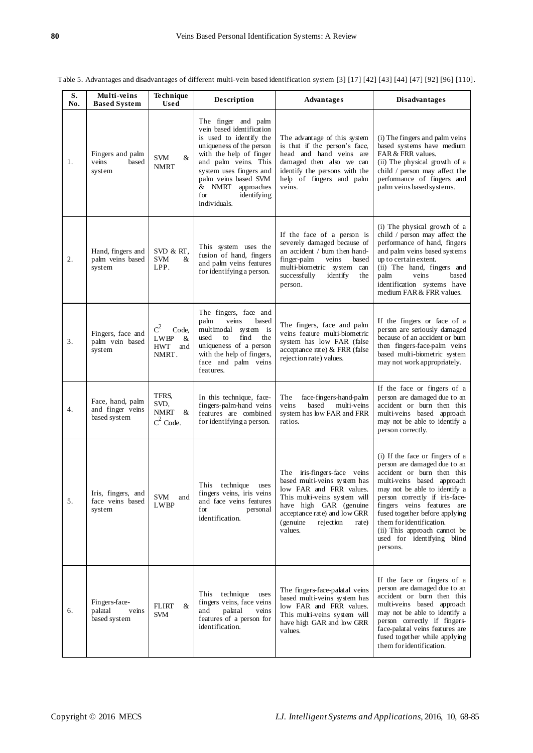| Table 5. Advantages and disadvantages of different multi-vein based identification system [3] [17] [42] [43] [44] [47] [92] [96] [110]. |  |
|-----------------------------------------------------------------------------------------------------------------------------------------|--|
|                                                                                                                                         |  |

| S.<br>No. | Multi-veins<br><b>Based System</b>                   | Technique<br><b>Used</b>                                                  | Description                                                                                                                                                                                                                                                                 | <b>Advantages</b>                                                                                                                                                                                                              | <b>Disadvantages</b>                                                                                                                                                                                                                                                                                                                                                 |
|-----------|------------------------------------------------------|---------------------------------------------------------------------------|-----------------------------------------------------------------------------------------------------------------------------------------------------------------------------------------------------------------------------------------------------------------------------|--------------------------------------------------------------------------------------------------------------------------------------------------------------------------------------------------------------------------------|----------------------------------------------------------------------------------------------------------------------------------------------------------------------------------------------------------------------------------------------------------------------------------------------------------------------------------------------------------------------|
| 1.        | Fingers and palm<br>veins<br>based<br>system         | <b>SVM</b><br>&<br><b>NMRT</b>                                            | The finger and palm<br>vein based identification<br>is used to identify the<br>uniqueness of the person<br>with the help of finger<br>and palm veins. This<br>system uses fingers and<br>palm veins based SVM<br>& NMRT<br>approaches<br>for<br>identifying<br>individuals. | The advantage of this system<br>is that if the person's face,<br>head and hand veins are<br>damaged then also we can<br>identify the persons with the<br>help of fingers and palm<br>veins.                                    | (i) The fingers and palm veins<br>based systems have medium<br>FAR & FRR values.<br>(ii) The physical growth of a<br>child / person may affect the<br>performance of fingers and<br>palm veins based systems.                                                                                                                                                        |
| 2.        | Hand, fingers and<br>palm veins based<br>system      | SVD & RT,<br><b>SVM</b><br>&<br>LPP.                                      | This system uses the<br>fusion of hand, fingers<br>and palm veins features<br>for identifying a person.                                                                                                                                                                     | If the face of a person is<br>severely damaged because of<br>an accident / burn then hand-<br>finger-palm<br>veins<br>based<br>multi-biometric system can<br>successfully<br>identify<br>the<br>person.                        | (i) The physical growth of a<br>child / person may affect the<br>performance of hand, fingers<br>and palm veins based systems<br>up to certain extent.<br>(ii) The hand, fingers and<br>veins<br>based<br>palm<br>identification systems have<br>medium FAR & FRR values.                                                                                            |
| 3.        | Fingers, face and<br>palm vein based<br>system       | $\mathrm{C}^2$<br>Code,<br><b>LWBP</b><br>&<br><b>HWT</b><br>and<br>NMRT. | The fingers, face and<br>palm<br>veins<br>based<br>multimodal system is<br>find<br>used<br>to<br>the<br>uniqueness of a person<br>with the help of fingers,<br>face and palm veins<br>features.                                                                             | The fingers, face and palm<br>veins feature multi-biometric<br>system has low FAR (false<br>acceptance rate) & FRR (false<br>rejection rate) values.                                                                           | If the fingers or face of a<br>person are seriously damaged<br>because of an accident or burn<br>then fingers-face-palm veins<br>based multi-biometric system<br>may not work appropriately.                                                                                                                                                                         |
| 4.        | Face, hand, palm<br>and finger veins<br>based system | TFRS.<br>SVD,<br><b>NMRT</b><br>&<br>$C^2$ Code.                          | In this technique, face-<br>fingers-palm-hand veins<br>features are combined<br>for identifying a person.                                                                                                                                                                   | The<br>face-fingers-hand-palm<br>based<br>multi-veins<br>veins<br>system has low FAR and FRR<br>ratios.                                                                                                                        | If the face or fingers of a<br>person are damaged due to an<br>accident or burn then this<br>multi-veins based approach<br>may not be able to identify a<br>person correctly.                                                                                                                                                                                        |
| 5.        | Iris, fingers, and<br>face veins based<br>system     | SVM and<br>LWBP                                                           | This<br>technique<br>uses<br>fingers veins, iris veins<br>and face veins features<br>for<br>personal<br>identification.                                                                                                                                                     | The iris-fingers-face veins<br>based multi-veins system has<br>low FAR and FRR values.<br>This multi-veins system will<br>have high GAR (genuine<br>acceptance rate) and low GRR<br>(genuine)<br>rejection<br>rate)<br>values. | (i) If the face or fingers of a<br>person are damaged due to an<br>accident or burn then this<br>multi-veins based approach<br>may not be able to identify a<br>person correctly if iris-face-<br>fingers veins features are<br>fused together before applying<br>them for identification.<br>(ii) This approach cannot be<br>used for identifying blind<br>persons. |
| 6.        | Fingers-face-<br>palatal<br>veins<br>based system    | FLIRT<br>&<br><b>SVM</b>                                                  | This technique<br>uses<br>fingers veins, face veins<br>palatal<br>and<br>veins<br>features of a person for<br>identification.                                                                                                                                               | The fingers-face-palatal veins<br>based multi-veins system has<br>low FAR and FRR values.<br>This multi-veins system will<br>have high GAR and low GRR<br>values.                                                              | If the face or fingers of a<br>person are damaged due to an<br>accident or burn then this<br>multi-veins based approach<br>may not be able to identify a<br>person correctly if fingers-<br>face-palatal veins features are<br>fused together while applying<br>them for identification.                                                                             |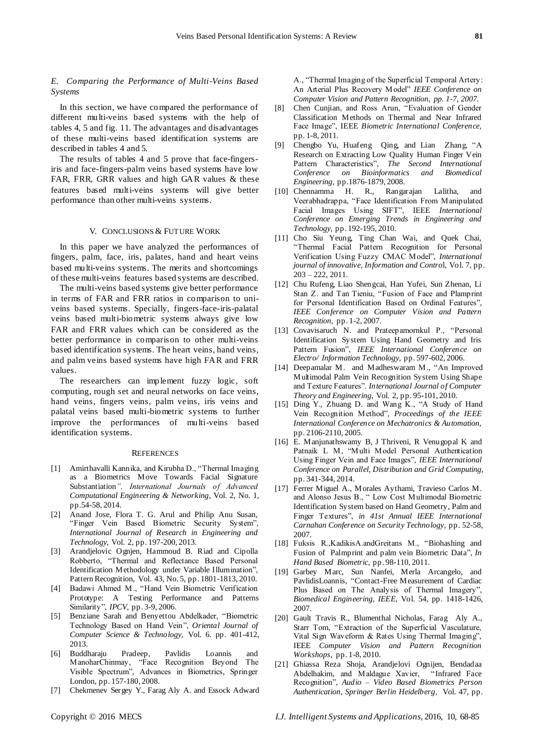## *E. Comparing the Performance of Multi-Veins Based Systems*

In this section, we have compared the performance of different multi-veins based systems with the help of tables 4, 5 and fig. 11. The advantages and disadvantages of these multi-veins based identification systems are described in tables 4 and 5.

The results of tables 4 and 5 prove that face-fingersiris and face-fingers-palm veins based systems have low FAR, FRR, GRR values and high GAR values & these features based multi-veins systems will give better performance than other multi-veins systems.

#### V. CONCLUSIONS & FUTURE WORK

In this paper we have analyzed the performances of fingers, palm, face, iris, palates, hand and heart veins based multi-veins systems. The merits and shortcomings of these multi-veins features based systems are described.

The multi-veins based systems give better performance in terms of FAR and FRR ratios in comparison to univeins based systems. Specially, fingers-face-iris-palatal veins based multi-biometric systems always give low FAR and FRR values which can be considered as the better performance in comparison to other multi-veins based identification systems. The heart veins, hand veins, and palm veins based systems have high FAR and FRR values.

The researchers can implement fuzzy logic, soft computing, rough set and neural networks on face veins, hand veins, fingers veins, palm veins, iris veins and palatal veins based multi-biometric systems to further improve the performances of multi-veins based identification systems.

#### **REFERENCES**

- [1] Amirthavalli Kannika, and Kirubha D., "Thermal Imaging as a Biometrics Move Towards Facial Signature Substantiation*", International Journals of Advanced Computational Engineering & Networking*, Vol. 2, No. 1, pp.54-58, 2014.
- [2] Anand Jose, Flora T. G. Arul and Philip Anu Susan, "Finger Vein Based Biometric Security System", *International Journal of Research in Engineering and Technology,* Vol. 2, pp. 197-200, 2013.
- [3] Arandjelovic Ognjen, Hammoud B. Riad and Cipolla Robberto, "Thermal and Reflectance Based Personal Identification Methodology under Variable Illumination", Pattern Recognition, Vol. 43, No. 5, pp. 1801-1813, 2010.
- [4] Badawi Ahmed M., "Hand Vein Biometric Verification Prototype: A Testing Performance and Patterns Similarity", *IPCV,* pp. 3-9, 2006.
- [5] Benziane Sarah and Benyettou Abdelkader, "Biometric Technology Based on Hand Vein", *Oriental Journal of Computer Science & Technology,* Vol. 6. pp. 401-412, 2013.
- [6] Buddharaju Pradeep, Pavlidis Loannis and ManoharChinmay, "Face Recognition Beyond The Visible Spectrum", Advances in Biometrics, Springer London, pp. 157-180, 2008.
- [7] Chekmenev Sergey Y., Farag Aly A. and Essock Adward

A., "Thermal Imaging of the Superficial Temporal Artery: An Arterial Plus Recovery Model" *IEEE Conference on Computer Vision and Pattern Recognition, pp. 1-7, 2007.*

- [8] Chen Cunjian, and Ross Arun, "Evaluation of Gender Classification Methods on Thermal and Near Infrared Face Image", IEEE *Biometric International Conference,*  pp. 1-8, 2011.
- [9] Chengbo Yu, Huafeng Qing, and Lian Zhang, "A Research on Extracting Low Quality Human Finger Vein Pattern Characteristics", *The Second International Conference on Bioinformatics and Biomedical Engineering,* pp.1876-1879, 2008.
- [10] Chennamma H. R., Rangarajan Lalitha, and Veerabhadrappa, "Face Identification From Manipulated Facial Images Using SIFT", IEEE *International Conference on Emerging Trends in Engineering and Technology*, pp. 192-195, 2010.
- [11] Cho Siu Yeung, Ting Chan Wai, and Quek Chai, "Thermal Facial Pattern Recognition for Personal Verification Using Fuzzy CMAC Model", *International journal of innovative, Information and Contro*l, Vol. 7, pp. 203 – 222, 2011.
- [12] Chu Rufeng, Liao Shengcai, Han Yufei, Sun Zhenan, Li Stan Z. and Tan Tieniu, "Fusion of Face and Plamprint for Personal Identification Based on Ordinal Features", *IEEE Conference on Computer Vision and Pattern Recognition*, pp. 1-2, 2007.
- [13] Covavisaruch N. and Prateepamornkul P., "Personal Identification System Using Hand Geometry and Iris Pattern Fusion", *IEEE International Conference on Electro/ Information Technology,* pp. 597-602, 2006.
- [14] Deepamalar M. and Madheswaram M., "An Improved Multimodal Palm Vein Recognition System Using Shape and Texture Features". *International Journal of Computer Theory and Engineering*, Vol. 2, pp. 95-101, 2010.
- [15] Ding Y., Zhuang D. and Wang K., "A Study of Hand Vein Recognition Method", *Proceedings of the IEEE International Conference on Mechatronics & Automation,* pp. 2106-2110, 2005.
- [16] E. Manjunathswamy B, J Thriveni, R Venugopal K and Patnaik L M, "Multi Model Personal Authentication Using Finger Vein and Face Images", *IEEE International Conference on Parallel, Distribution and Grid Computing,* pp. 341-344, 2014.
- [17] Ferrer Miguel A., Morales Aythami, Travieso Carlos M. and Alonso Jesus B., " Low Cost Multimodal Biometric Identification System based on Hand Geometry, Palm and Finger Textures", *in 41st Annual IEEE International Carnahan Conference on Security Technology*, pp. 52-58, 2007.
- [18] Fuksis R.,KadikisA.andGreitans M., "Biohashing and Fusion of Palmprint and palm vein Biometric Data", *In Hand Based Biometric*, pp. 98-110, 2011.
- [19] Garbey Marc, Sun Nanfei, Merla Arcangelo, and PavlidisLoannis, "Contact-Free Measurement of Cardiac Plus Based on The Analysis of Thermal Imagery", *Biomedical Engineering, IEEE,* Vol. 54, pp. 1418-1426, 2007.
- [20] Gault Travis R., Blumenthal Nicholas, Farag Aly A., Starr Tom, "Extraction of the Superficial Vasculature, Vital Sign Waveform & Rates Using Thermal Imaging", IEEE *Computer Vision and Pattern Recognition Workshops*, pp. 1-8, 2010.
- [21] Ghiassa Reza Shoja, Arandjelovi Ognijen, Bendadaa Abdelhakim, and Maldague Xavier, "Infrared Face Recognition", *Audio – Video Based Biometrics Person Authentication, Springer Berlin Heidelberg*, Vol. 47, pp.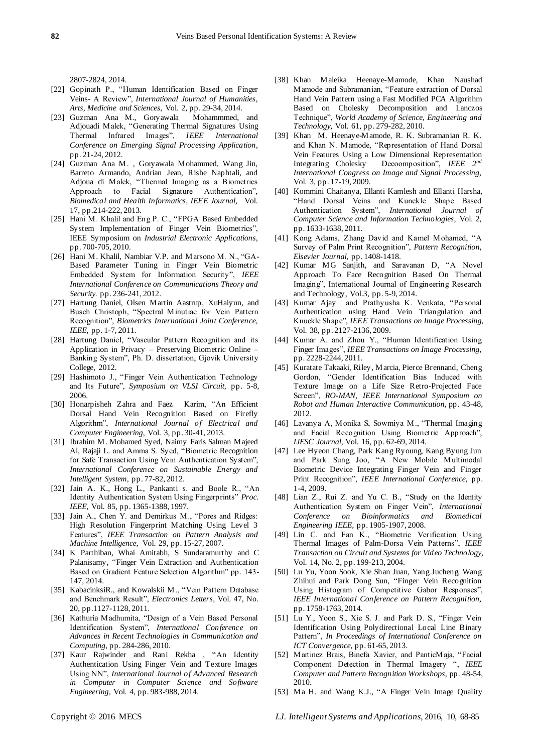2807-2824, 2014.

- [22] Gopinath P., "Human Identification Based on Finger Veins- A Review", *International Journal of Humanities, Arts, Medicine and Sciences,* Vol. 2, pp. 29-34, 2014.
- [23] Guzman Ana M., Goryawala Adjouadi Malek, "Generating Thermal Signatures Using Thermal Infrared Images"*, IEEE International Conference on Emerging Signal Processing Application*, pp. 21-24, 2012.
- [24] Guzman Ana M. , Goryawala Mohammed, Wang Jin, Barreto Armando, Andrian Jean, Rishe Naphtali, and Adjoua di Malek, "Thermal Imaging as a Biometrics Approach to Facial Signature Authentication", *Biomedical and Health Informatics, IEEE Journal,* Vol. 17, pp.214-222, 2013.
- [25] Hani M. Khalil and Eng P. C., "FPGA Based Embedded System Implementation of Finger Vein Biometrics", IEEE Symposium on *Industrial Electronic Applications,*  pp. 700-705, 2010.
- [26] Hani M. Khalil, Nambiar V.P. and Marsono M. N., "GA-Based Parameter Tuning in Finger Vein Biometric Embedded System for Information Security", *IEEE International Conference on Communications Theory and Security.* pp. 236-241, 2012.
- [27] Hartung Daniel, Olsen Martin Aastrup, XuHaiyun, and Busch Christoph, "Spectral Minutiae for Vein Pattern Recognition", *Biometrics International Joint Conference, IEEE,* pp. 1-7, 2011.
- [28] Hartung Daniel, "Vascular Pattern Recognition and its Application in Privacy – Preserving Biometric Online – Banking System", Ph. D. dissertation, Gjovik University College, 2012.
- [29] Hashimoto J., "Finger Vein Authentication Technology and Its Future", *Symposium on VLSI Circuit,* pp. 5-8, 2006.
- [30] Honarpisheh Zahra and Faez Karim, "An Efficient Dorsal Hand Vein Recognition Based on Firefly Algorithm", *International Journal of Electrical and Computer Engineering,* Vol. 3, pp. 30-41, 2013.
- [31] Ibrahim M. Mohamed Syed, Naimy Faris Salman Majeed Al, Rajaji L. and Amma S. Syed, "Biometric Recognition for Safe Transaction Using Vein Authentication System", *International Conference on Sustainable Energy and Intelligent System,* pp. 77-82, 2012.
- [32] Jain A. K., Hong L., Pankanti s. and Boole R., "An Identity Authentication System Using Fingerprints" *Proc. IEEE,* Vol. 85, pp. 1365-1388, 1997.
- [33] Jain A., Chen Y. and Demirkus M., "Pores and Ridges: High Resolution Fingerprint Matching Using Level 3 Features", *IEEE Transaction on Pattern Analysis and Machine Intelligence,* Vol. 29, pp. 15-27, 2007.
- [34] K Parthiban, Whai Amitabh, S Sundaramurthy and C Palanisamy, "Finger Vein Extraction and Authentication Based on Gradient Feature Selection Algorithm" pp. 143- 147, 2014.
- [35] KabacinksiR., and Kowalskii M., "Vein Pattern Database and Benchmark Result", *Electronics Letters*, Vol. 47, No. 20, pp.1127-1128, 2011.
- [36] Kathuria Madhumita, "Design of a Vein Based Personal Identification System", *International Conference on Advances in Recent Technologies in Communication and Computing,* pp. 284-286, 2010.
- [37] Kaur Rajwinder and Rani Rekha , "An Identity Authentication Using Finger Vein and Texture Images Using NN", *International Journal of Advanced Research in Computer in Computer Science and Software Engineering,* Vol. 4, pp. 983-988, 2014.
- [38] Khan Maleika Heenaye-Mamode, Khan Naushad Mamode and Subramanian, "Feature extraction of Dorsal Hand Vein Pattern using a Fast Modified PCA Algorithm Based on Cholesky Decomposition and Lanczos Technique", *World Academy of Science, Engineering and Technology,* Vol. 61, pp. 279-282, 2010.
- [39] Khan M. Heenaye-Mamode, R. K. Subramanian R. K. and Khan N. Mamode, "Representation of Hand Dorsal Vein Features Using a Low Dimensional Representation Integrating Cholesky Decoomposition", *IEEE 2 nd International Congress on Image and Signal Processing,*  Vol. 3, pp. 17-19, 2009.
- [40] Kommini Chaitanya, Ellanti Kamlesh and Ellanti Harsha, "Hand Dorsal Veins and Kunckle Shape Based Authentication System", *International Journal of Computer Science and Information Technologies,* Vol. 2, pp. 1633-1638, 2011.
- [41] Kong Adams, Zhang David and Kamel Mohamed, "A Survey of Palm Print Recognition", *Pattern Recognition, Elsevier Journal,* pp. 1408-1418.
- [42] Kumar MG Sanjith, and Saravanan D, "A Novel Approach To Face Recognition Based On Thermal Imaging", International Journal of Engineering Research and Technology, Vol.3, pp. 5-9, 2014.
- [43] Kumar Ajay and Prathyusha K. Venkata, "Personal Authentication using Hand Vein Triangulation and Knuckle Shape", *IEEE Transactions on Image Processing,* Vol. 38, pp. 2127-2136, 2009.
- [44] Kumar A. and Zhou Y., "Human Identification Using Finger Images", *IEEE Transactions on Image Processing,* pp. 2228-2244, 2011.
- [45] Kuratate Takaaki, Riley, Marcia, Pierce Brennand, Cheng Gordon, "Gender Identification Bias Induced with Texture Image on a Life Size Retro-Projected Face Screen", *RO-MAN, IEEE International Symposium on Robot and Human Interactive Communication,* pp. 43-48, 2012.
- [46] Lavanya A, Monika S, Sowmiya M., "Thermal Imaging and Facial Recognition Using Biometric Approach", *IJESC Journal,* Vol. 16, pp. 62-69, 2014.
- [47] Lee Hyeon Chang, Park Kang Ryoung, Kang Byung Jun and Park Sung Joo, "A New Mobile Multimodal Biometric Device Integrating Finger Vein and Finger Print Recognition", *IEEE International Conference,* pp. 1-4, 2009.
- [48] Lian Z., Rui Z. and Yu C. B., "Study on the Identity Authentication System on Finger Vein", *International Conference on Bioinformatics and Biomedical Engineering IEEE,* pp. 1905-1907, 2008.
- [49] Lin C. and Fan K., "Biometric Verification Using Thermal Images of Palm-Dorsa Vein Patterns", *IEEE Transaction on Circuit and Systems for Video Technology,*  Vol. 14, No. 2, pp. 199-213, 2004.
- [50] Lu Yu, Yoon Sook, Xie Shan Juan, Yang Jucheng, Wang Zhihui and Park Dong Sun, "Finger Vein Recognition Using Histogram of Competitive Gabor Responses", *IEEE International Conference on Pattern Recognition,* pp. 1758-1763, 2014.
- [51] Lu Y., Yoon S., Xie S. J. and Park D. S., "Finger Vein Identification Using Polydirectional Local Line Binary Pattern", *In Proceedings of International Conference on ICT Convergence,* pp. 61-65, 2013.
- [52] Martinez Brais, Binefa Xavier, and PanticMaja, "Facial Component Detection in Thermal Imagery ", *IEEE Computer and Pattern Recognition Workshops,* pp. 48-54, 2010.
- [53] Ma H. and Wang K.J., "A Finger Vein Image Quality

Copyright © 2016 MECS *I.J. Intelligent Systems and Applications,* 2016, 10, 68-85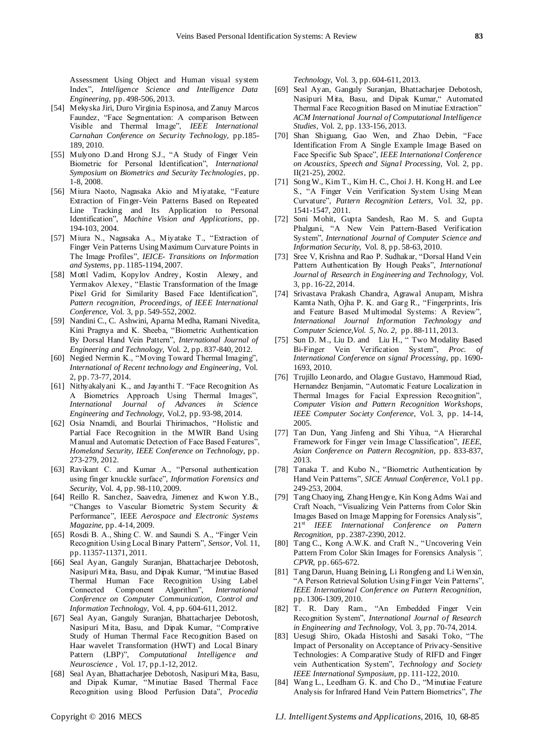Assessment Using Object and Human visual system Index", *Intelligence Science and Intelligence Data Engineering*, pp. 498-506, 2013.

- [54] Mekyska Jiri, Duro Virginia Espinosa, and Zanuy Marcos Faundez, "Face Segmentation: A comparison Between Visible and Thermal Image", *IEEE International Carnahan Conference on Security Technology,* pp.185- 189, 2010.
- [55] Mulyono D.and Hrong S.J., "A Study of Finger Vein Biometric for Personal Identification", *International Symposium on Biometrics and Security Technologies*, pp. 1-8, 2008.
- [56] Miura Naoto, Nagasaka Akio and Miyatake, "Feature Extraction of Finger-Vein Patterns Based on Repeated Line Tracking and Its Application to Personal Identification", *Machine Vision and Applications,* pp. 194-103, 2004.
- [57] Miura N., Nagasaka A., Miyatake T., "Extraction of Finger Vein Patterns Using Maximum Curvature Points in The Image Profiles", *IEICE- Transitions on Information and Systems,* pp. 1185-1194, 2007.
- [58] Mottl Vadim, Kopylov Andrey, Kostin Alexey, and Yermakov Alexey, "Elastic Transformation of the Image Pixel Grid for Similarity Based Face Identification", *Pattern recognition, Proceedings, of IEEE International Conference,* Vol. 3, pp. 549-552, 2002.
- [59] Nandini C., C. Ashwini, Aparna Medha, Ramani Nivedita, Kini Pragnya and K. Sheeba, "Biometric Authentication By Dorsal Hand Vein Pattern", *International Journal of Engineering and Technology,* Vol. 2, pp. 837-840, 2012.
- [60] Negied Nermin K., "Moving Toward Thermal Imaging", *International of Recent technology and Engineering*, Vol. 2, pp. 73-77, 2014.
- [61] Nithyakalyani K., and Jayanthi T. "Face Recognition As A Biometrics Approach Using Thermal Images", *International Journal of Advances in Science Engineering and Technology,* Vol.2, pp. 93-98, 2014.
- [62] Osia Nnamdi, and Bourlai Thirimachos, "Holistic and Partial Face Recognition in the MWIR Band Using Manual and Automatic Detection of Face Based Features", *Homeland Security, IEEE Conference on Technology*, pp. 273-279, 2012.
- [63] Ravikant C. and Kumar A., "Personal authentication using finger knuckle surface", *Information Forensics and Security,* Vol. 4, pp. 98-110, 2009.
- [64] Reillo R. Sanchez, Saavedra, Jimenez and Kwon Y.B., "Changes to Vascular Biometric System Security & Performance", IEEE *Aerospace and Electronic Systems Magazine,* pp. 4-14, 2009.
- [65] Rosdi B. A., Shing C. W. and Saundi S. A., "Finger Vein Recognition Using Local Binary Pattern", *Sensor,* Vol. 11, pp. 11357-11371, 2011.
- [66] Seal Ayan, Ganguly Suranjan, Bhattacharjee Debotosh, Nasipuri Mita, Basu, and Dipak Kumar, "Minutiae Based Thermal Human Face Recognition Using Label Connected Component Algorithm", *International Conference on Computer Communication, Control and Information Technology*, Vol. 4, pp. 604-611, 2012.
- [67] Seal Ayan, Ganguly Suranjan, Bhattacharjee Debotosh, Nasipuri Mita, Basu, and Dipak Kumar, "Comprative Study of Human Thermal Face Recognition Based on Haar wavelet Transformation (HWT) and Local Binary Pattern (LBP)", *Computational Intelligence and Neuroscience ,* Vol. 17, pp.1-12, 2012.
- [68] Seal Ayan, Bhattacharjee Debotosh, Nasipuri Mita, Basu, and Dipak Kumar, "Minutiae Based Thermal Face Recognition using Blood Perfusion Data", *Procedia*

*Technology,* Vol. 3, pp. 604-611, 2013.

- [69] Seal Ayan, Ganguly Suranjan, Bhattacharjee Debotosh, Nasipuri Mita, Basu, and Dipak Kumar," Automated Thermal Face Recognition Based on Minutiae Extraction" *ACM International Journal of Computational Intelligence Studies,* Vol. 2, pp. 133-156, 2013.
- [70] Shan Shiguang, Gao Wen, and Zhao Debin, "Face Identification From A Single Example Image Based on Face Specific Sub Space", *IEEE International Conference on Acoustics, Speech and Signal Processing,* Vol. 2, pp. II(21-25), 2002.
- [71] Song W., Kim T., Kim H. C., Choi J. H. Kong H. and Lee S., "A Finger Vein Verification System Using Mean Curvature", *Pattern Recognition Letters,* Vol. 32, pp. 1541-1547, 2011.
- [72] Soni Mohit, Gupta Sandesh, Rao M. S. and Gupta Phalguni, "A New Vein Pattern-Based Verification System", *International Journal of Computer Science and Information Security,* Vol. 8, pp. 58-63, 2010.
- [73] Sree V, Krishna and Rao P. Sudhakar, "Dorsal Hand Vein Pattern Authentication By Hough Peaks", *International Journal of Research in Engineering and Technology,* Vol. 3, pp. 16-22, 2014.
- [74] Srivastava Prakash Chandra, Agrawal Anupam, Mishra Kamta Nath, Ojha P. K. and Garg R., "Fingerprints, Iris and Feature Based Multimodal Systems: A Review" *International Journal Information Technology and Computer Science,Vol. 5, No. 2,* pp. 88-111, 2013.
- [75] Sun D. M., Liu D. and Liu H., " Two Modality Based Bi-Finger Vein Verification System", *Proc. of International Conference on signal Processing*, pp. 1690- 1693, 2010.
- [76] Trujillo Leonardo, and Olague Gustavo, Hammoud Riad, Hernandez Benjamin, "Automatic Feature Localization in Thermal Images for Facial Expression Recognition", *Computer Vision and Pattern Recognition Workshops, IEEE Computer Society Conference*, Vol. 3, pp. 14-14, 2005.
- [77] Tan Dun, Yang Jinfeng and Shi Yihua, "A Hierarchal Framework for Finger vein Image Classification", *IEEE, Asian Conference on Pattern Recognition,* pp. 833-837, 2013.
- [78] Tanaka T. and Kubo N., "Biometric Authentication by Hand Vein Patterns", *SICE Annual Conference,* Vol.1 pp. 249-253, 2004.
- [79] Tang Chaoying, Zhang Hengye, Kin Kong Adms Wai and Craft Noach, "Visualizing Vein Patterns from Color Skin Images Based on Image Mapping for Forensics Analysis", 21st *IEEE International Conference on Pattern Recognition,* pp. 2387-2390, 2012.
- [80] Tang C., Kong A.W.K. and Craft N., "Uncovering Vein Pattern From Color Skin Images for Forensics Analysis*", CPVR,* pp. 665-672.
- [81] Tang Darun, Huang Beining, Li Rongfeng and Li Wenxin, "A Person Retrieval Solution Using Finger Vein Patterns", *IEEE International Conference on Pattern Recognition,* pp. 1306-1309, 2010.
- [82] T. R. Dary Ram., "An Embedded Finger Vein Recognition System", *International Journal of Research in Engineering and Technology,* Vol. 3, pp. 70-74, 2014.
- [83] Uesugi Shiro, Okada Histoshi and Sasaki Toko, "The Impact of Personality on Acceptance of Privacy-Sensitive Technologies: A Comparative Study of RIFD and Finger vein Authentication System", *Technology and Society IEEE International Symposium,* pp. 111-122, 2010.
- [84] Wang L., Leedham G. K. and Cho D., "Minutiae Feature Analysis for Infrared Hand Vein Pattern Biometrics", *The*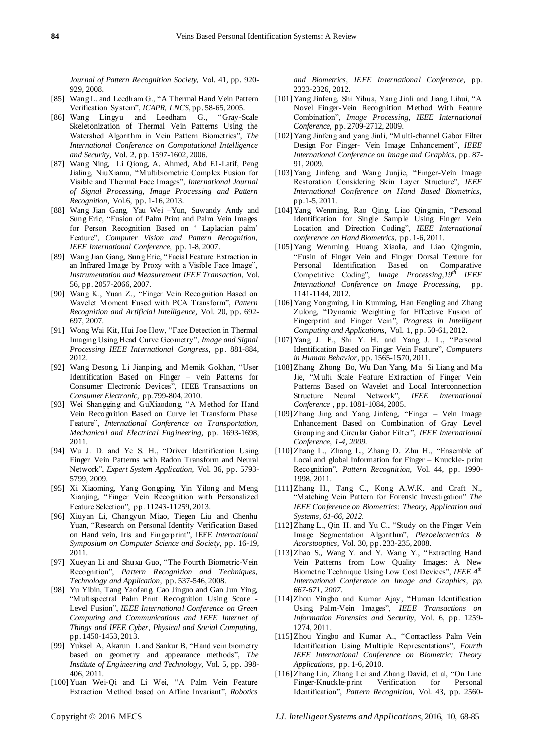*Journal of Pattern Recognition Society,* Vol. 41, pp. 920- 929, 2008.

- [85] Wang L. and Leedham G., "A Thermal Hand Vein Pattern Verification System", *ICAPR, LNCS*, pp. 58-65, 2005.
- [86] Wang Lingyu and Leedham G., "Gray-Scale Skeletonization of Thermal Vein Patterns Using the Watershed Algorithm in Vein Pattern Biometrics", *The International Conference on Computational Intelligence and Security,* Vol. 2, pp. 1597-1602, 2006.
- [87] Wang Ning, Li Qiong, A. Ahmed, Abd E1-Latif, Peng Jialing, NiuXiamu, "Multibiometric Complex Fusion for Visible and Thermal Face Images", *International Journal of Signal Processing, Image Processing and Pattern Recognition,* Vol.6, pp. 1-16, 2013.
- [88] Wang Jian Gang, Yau Wei –Yun, Suwandy Andy and Sung Eric, "Fusion of Palm Print and Palm Vein Images for Person Recognition Based on " Laplacian palm" Feature", *Computer Vision and Pattern Recognition, IEEE International Conference,* pp. 1-8, 2007.
- [89] Wang Jian Gang, Sung Eric, "Facial Feature Extraction in an Infrared Image by Proxy with a Visible Face Image", *Instrumentation and Measurement IEEE Transaction*, Vol. 56, pp. 2057-2066, 2007.
- [90] Wang K., Yuan Z., "Finger Vein Recognition Based on Wavelet Moment Fused with PCA Transform", *Pattern Recognition and Artificial Intelligence,* Vol. 20, pp. 692- 697, 2007.
- [91] Wong Wai Kit, Hui Joe How, "Face Detection in Thermal Imaging Using Head Curve Geometry", *Image and Signal Processing IEEE International Congress,* pp. 881-884, 2012.
- [92] Wang Desong, Li Jianping, and Memik Gokhan, "User Identification Based on Finger – vein Patterns for Consumer Electronic Devices", IEEE Transactions on *Consumer Electronic,* pp.799-804, 2010.
- [93] Wei Shangging and GuXiaodong, "A Method for Hand Vein Recognition Based on Curve let Transform Phase Feature", *International Conference on Transportation, Mechanical and Electrical Engineering,* pp. 1693-1698, 2011.
- [94] Wu J. D. and Ye S. H., "Driver Identification Using Finger Vein Patterns with Radon Transform and Neural Network", *Expert System Application,* Vol. 36, pp. 5793- 5799, 2009.
- [95] Xi Xiaoming, Yang Gongping, Yin Yilong and Meng Xianjing, "Finger Vein Recognition with Personalized Feature Selection", pp. 11243-11259, 2013.
- [96] Xiuyan Li, Changyun Miao, Tiegen Liu and Chenhu Yuan, "Research on Personal Identity Verification Based on Hand vein, Iris and Fingerprint", IEEE *International Symposium on Computer Science and Society*, pp. 16-19, 2011.
- [97] Xueyan Li and Shuxu Guo, "The Fourth Biometric-Vein Recognition", *Pattern Recognition and Techniques, Technology and Application,* pp. 537-546, 2008.
- [98] Yu Yibin, Tang Yaofang, Cao Jinguo and Gan Jun Ying, "Multispectral Palm Print Recognition Using Score - Level Fusion", *IEEE International Conference on Green Computing and Communications and IEEE Internet of Things and IEEE Cyber, Physical and Social Computing,*  pp. 1450-1453, 2013.
- [99] Yuksel A, Akarun L and Sankur B, "Hand vein biometry based on geometry and appearance methods", *The Institute of Engineering and Technology,* Vol. 5, pp. 398- 406, 2011.
- [100] Yuan Wei-Qi and Li Wei, "A Palm Vein Feature Extraction Method based on Affine Invariant", *Robotics*

*and Biometrics, IEEE International Conference,* pp. 2323-2326, 2012.

- [101] Yang Jinfeng, Shi Yihua, Yang Jinli and Jiang Lihui, "A Novel Finger-Vein Recognition Method With Feature Combination", *Image Processing, IEEE International Conference,* pp. 2709-2712, 2009.
- [102] Yang Jinfeng and yang Jinli, "Multi-channel Gabor Filter Design For Finger- Vein Image Enhancement", *IEEE International Conference on Image and Graphics,* pp. 87- 91, 2009.
- [103] Yang Jinfeng and Wang Junjie, "Finger-Vein Image Restoration Considering Skin Layer Structure", *IEEE International Conference on Hand Based Biometrics,*  pp.1-5, 2011.
- [104] Yang Wenming, Rao Qing, Liao Qingmin, "Personal Identification for Single Sample Using Finger Vein Location and Direction Coding", *IEEE International conference on Hand Biometrics,* pp. 1-6, 2011.
- [105] Yang Wenming, Huang Xiaola, and Liao Qingmin, "Fusin of Finger Vein and Finger Dorsal Texture for Personal Identification Based on Comparative Competitive Coding", *Image Processing,19th IEEE International Conference on Image Processing,* pp. 1141-1144, 2012.
- [106] Yang Yongming, Lin Kunming, Han Fengling and Zhang Zulong, "Dynamic Weighting for Effective Fusion of Fingerprint and Finger Vein", *Progress in Intelligent Computing and Applications,* Vol. 1, pp. 50-61, 2012.
- [107] Yang J. F., Shi Y. H. and Yang J. L., "Personal Identification Based on Finger Vein Feature", *Computers in Human Behavior,* pp. 1565-1570, 2011.
- [108] Zhang Zhong Bo, Wu Dan Yang, Ma Si Liang and Ma Jie, "Multi Scale Feature Extraction of Finger Vein Patterns Based on Wavelet and Local Interconnection Structure Neural Network", *IEEE International Conference* , pp. 1081-1084, 2005.
- [109] Zhang Jing and Yang Jinfeng, "Finger Vein Image Enhancement Based on Combination of Gray Level Grouping and Circular Gabor Filter", *IEEE International Conference, 1-4, 2009.*
- [110] Zhang L., Zhang L., Zhang D. Zhu H., "Ensemble of Local and global Information for Finger – Knuckle- print Recognition", *Pattern Recognition,* Vol. 44, pp. 1990- 1998, 2011.
- [111] Zhang H., Tang C., Kong A.W.K. and Craft N., "Matching Vein Pattern for Forensic Investigation" *The IEEE Conference on Biometrics: Theory, Application and Systems, 61-66, 2012.*
- [112] Zhang L., Qin H. and Yu C., "Study on the Finger Vein Image Segmentation Algorithm", *Piezoelectectrics & Acorstooptics,* Vol. 30, pp. 233-235, 2008.
- [113] Zhao S., Wang Y. and Y. Wang Y., "Extracting Hand Vein Patterns from Low Quality Images: A New Biometric Technique Using Low Cost Devices", *IEEE 4th International Conference on Image and Graphics, pp. 667-671, 2007.*
- [114] Zhou Yingbo and Kumar Ajay, "Human Identification Using Palm-Vein Images", *IEEE Transactions on Information Forensics and Security,* Vol. 6, pp. 1259- 1274, 2011.
- [115] Zhou Yingbo and Kumar A., "Contactless Palm Vein Identification Using Multiple Representations", *Fourth IEEE International Conference on Biometric: Theory Applications,* pp. 1-6, 2010.
- [116] Zhang Lin, Zhang Lei and Zhang David, et al, "On Line Finger-Knuckle-print Verification for Personal Identification", *Pattern Recognition,* Vol. 43, pp. 2560-